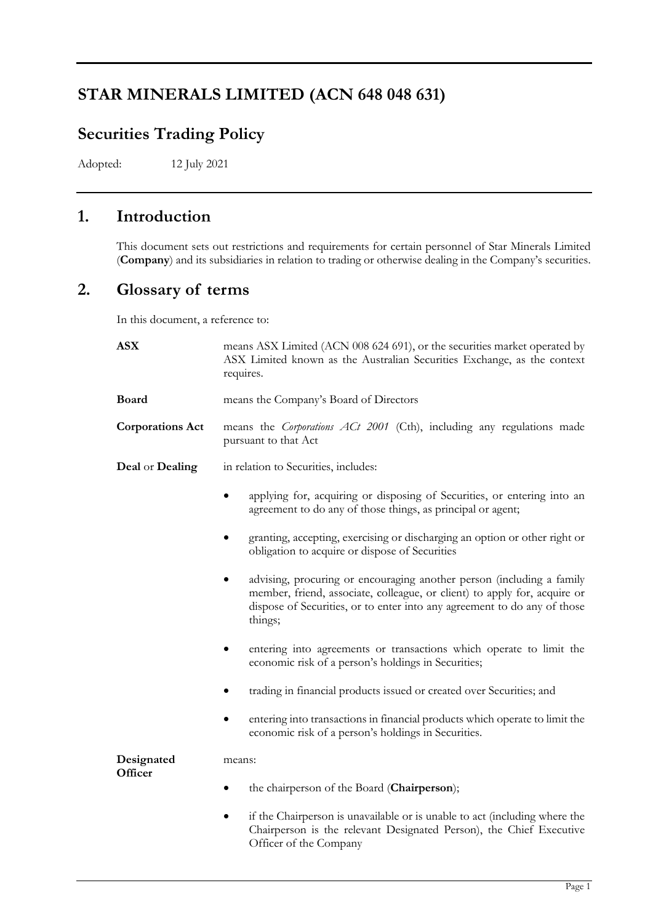# **STAR MINERALS LIMITED (ACN 648 048 631)**

# **Securities Trading Policy**

Adopted: 12 July 2021

# **1. Introduction**

This document sets out restrictions and requirements for certain personnel of Star Minerals Limited (**Company**) and its subsidiaries in relation to trading or otherwise dealing in the Company's securities.

# **2. Glossary of terms**

In this document, a reference to:

| <b>ASX</b>              | means ASX Limited (ACN 008 624 691), or the securities market operated by<br>ASX Limited known as the Australian Securities Exchange, as the context<br>requires.                                                                                      |
|-------------------------|--------------------------------------------------------------------------------------------------------------------------------------------------------------------------------------------------------------------------------------------------------|
| <b>Board</b>            | means the Company's Board of Directors                                                                                                                                                                                                                 |
| <b>Corporations Act</b> | means the Corporations ACt 2001 (Cth), including any regulations made<br>pursuant to that Act                                                                                                                                                          |
| Deal or Dealing         | in relation to Securities, includes:                                                                                                                                                                                                                   |
|                         | applying for, acquiring or disposing of Securities, or entering into an<br>agreement to do any of those things, as principal or agent;                                                                                                                 |
|                         | granting, accepting, exercising or discharging an option or other right or<br>obligation to acquire or dispose of Securities                                                                                                                           |
|                         | advising, procuring or encouraging another person (including a family<br>$\bullet$<br>member, friend, associate, colleague, or client) to apply for, acquire or<br>dispose of Securities, or to enter into any agreement to do any of those<br>things; |
|                         | entering into agreements or transactions which operate to limit the<br>economic risk of a person's holdings in Securities;                                                                                                                             |
|                         | trading in financial products issued or created over Securities; and                                                                                                                                                                                   |
|                         | entering into transactions in financial products which operate to limit the<br>$\bullet$<br>economic risk of a person's holdings in Securities.                                                                                                        |
| Designated<br>Officer   | means:                                                                                                                                                                                                                                                 |
|                         | the chairperson of the Board (Chairperson);                                                                                                                                                                                                            |
|                         | if the Chairperson is unavailable or is unable to act (including where the<br>$\bullet$<br>Chairperson is the relevant Designated Person), the Chief Executive<br>Officer of the Company                                                               |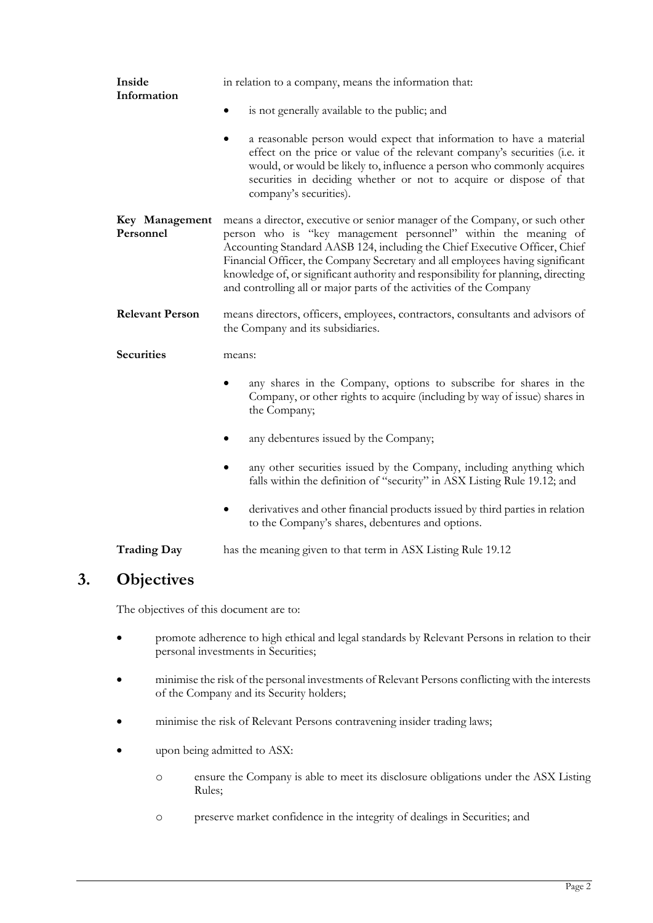| Inside<br>Information       | in relation to a company, means the information that:                                                                                                                                                                                                                                                                                                                                                                                                                    |
|-----------------------------|--------------------------------------------------------------------------------------------------------------------------------------------------------------------------------------------------------------------------------------------------------------------------------------------------------------------------------------------------------------------------------------------------------------------------------------------------------------------------|
|                             | is not generally available to the public; and                                                                                                                                                                                                                                                                                                                                                                                                                            |
|                             | a reasonable person would expect that information to have a material<br>٠<br>effect on the price or value of the relevant company's securities (i.e. it<br>would, or would be likely to, influence a person who commonly acquires<br>securities in deciding whether or not to acquire or dispose of that<br>company's securities).                                                                                                                                       |
| Key Management<br>Personnel | means a director, executive or senior manager of the Company, or such other<br>person who is "key management personnel" within the meaning of<br>Accounting Standard AASB 124, including the Chief Executive Officer, Chief<br>Financial Officer, the Company Secretary and all employees having significant<br>knowledge of, or significant authority and responsibility for planning, directing<br>and controlling all or major parts of the activities of the Company |
| <b>Relevant Person</b>      | means directors, officers, employees, contractors, consultants and advisors of<br>the Company and its subsidiaries.                                                                                                                                                                                                                                                                                                                                                      |
| <b>Securities</b>           | means:                                                                                                                                                                                                                                                                                                                                                                                                                                                                   |
|                             | any shares in the Company, options to subscribe for shares in the<br>Company, or other rights to acquire (including by way of issue) shares in<br>the Company;                                                                                                                                                                                                                                                                                                           |
|                             | any debentures issued by the Company;                                                                                                                                                                                                                                                                                                                                                                                                                                    |
|                             | any other securities issued by the Company, including anything which<br>falls within the definition of "security" in ASX Listing Rule 19.12; and                                                                                                                                                                                                                                                                                                                         |
|                             | derivatives and other financial products issued by third parties in relation<br>to the Company's shares, debentures and options.                                                                                                                                                                                                                                                                                                                                         |

**Trading Day** has the meaning given to that term in ASX Listing Rule 19.12

# **3. Objectives**

The objectives of this document are to:

- promote adherence to high ethical and legal standards by Relevant Persons in relation to their personal investments in Securities;
- minimise the risk of the personal investments of Relevant Persons conflicting with the interests of the Company and its Security holders;
- minimise the risk of Relevant Persons contravening insider trading laws;
- upon being admitted to ASX:
	- o ensure the Company is able to meet its disclosure obligations under the ASX Listing Rules;
	- o preserve market confidence in the integrity of dealings in Securities; and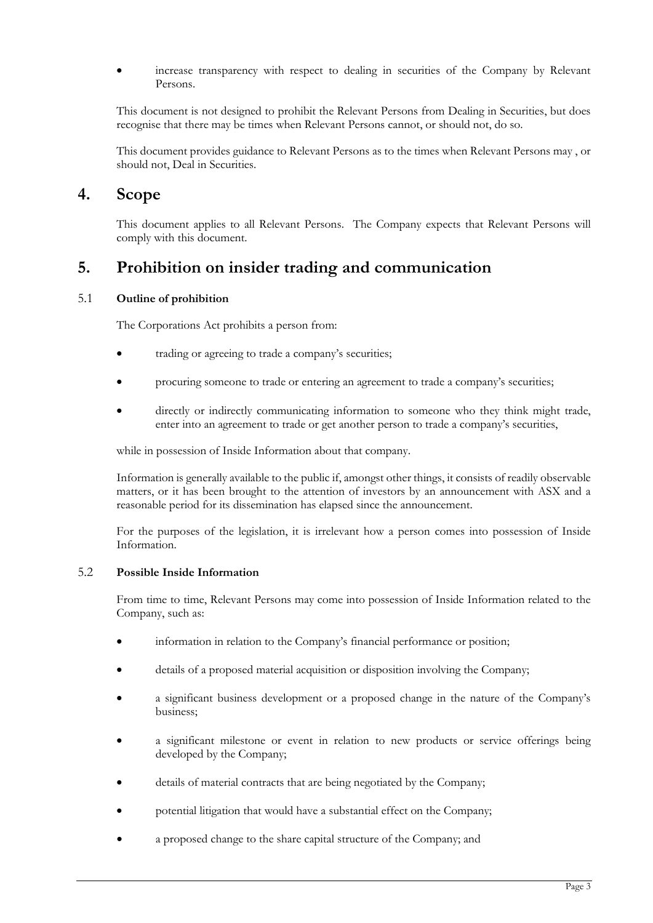• increase transparency with respect to dealing in securities of the Company by Relevant Persons.

This document is not designed to prohibit the Relevant Persons from Dealing in Securities, but does recognise that there may be times when Relevant Persons cannot, or should not, do so.

This document provides guidance to Relevant Persons as to the times when Relevant Persons may , or should not, Deal in Securities.

### **4. Scope**

This document applies to all Relevant Persons. The Company expects that Relevant Persons will comply with this document.

### **5. Prohibition on insider trading and communication**

### 5.1 **Outline of prohibition**

The Corporations Act prohibits a person from:

- trading or agreeing to trade a company's securities;
- procuring someone to trade or entering an agreement to trade a company's securities;
- directly or indirectly communicating information to someone who they think might trade, enter into an agreement to trade or get another person to trade a company's securities,

while in possession of Inside Information about that company.

Information is generally available to the public if, amongst other things, it consists of readily observable matters, or it has been brought to the attention of investors by an announcement with ASX and a reasonable period for its dissemination has elapsed since the announcement.

For the purposes of the legislation, it is irrelevant how a person comes into possession of Inside Information.

#### 5.2 **Possible Inside Information**

From time to time, Relevant Persons may come into possession of Inside Information related to the Company, such as:

- information in relation to the Company's financial performance or position;
- details of a proposed material acquisition or disposition involving the Company;
- a significant business development or a proposed change in the nature of the Company's business;
- a significant milestone or event in relation to new products or service offerings being developed by the Company;
- details of material contracts that are being negotiated by the Company;
- potential litigation that would have a substantial effect on the Company;
- a proposed change to the share capital structure of the Company; and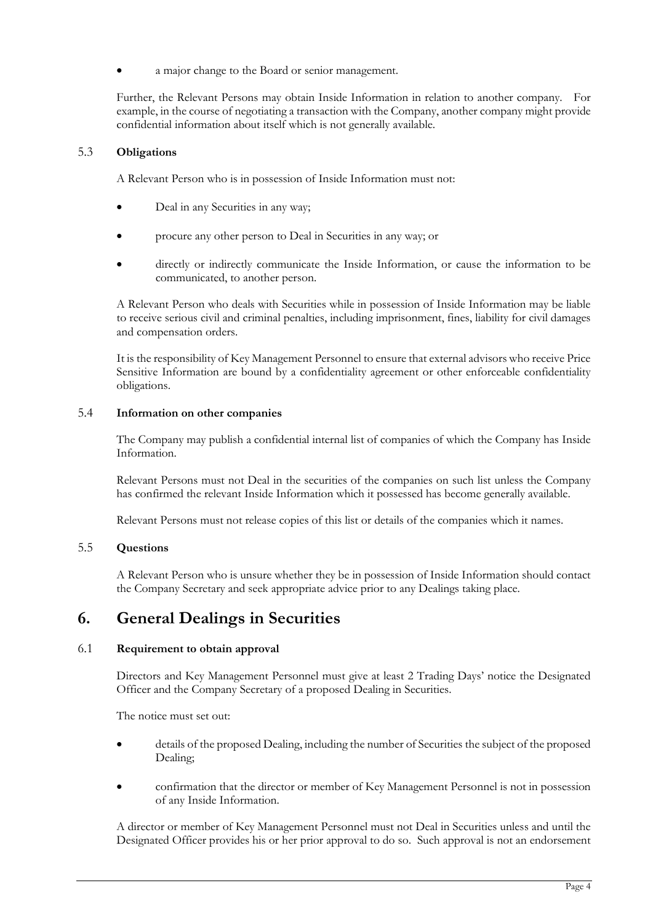a major change to the Board or senior management.

Further, the Relevant Persons may obtain Inside Information in relation to another company. For example, in the course of negotiating a transaction with the Company, another company might provide confidential information about itself which is not generally available.

#### 5.3 **Obligations**

A Relevant Person who is in possession of Inside Information must not:

- Deal in any Securities in any way;
- procure any other person to Deal in Securities in any way; or
- directly or indirectly communicate the Inside Information, or cause the information to be communicated, to another person.

A Relevant Person who deals with Securities while in possession of Inside Information may be liable to receive serious civil and criminal penalties, including imprisonment, fines, liability for civil damages and compensation orders.

It is the responsibility of Key Management Personnel to ensure that external advisors who receive Price Sensitive Information are bound by a confidentiality agreement or other enforceable confidentiality obligations.

#### 5.4 **Information on other companies**

The Company may publish a confidential internal list of companies of which the Company has Inside Information.

Relevant Persons must not Deal in the securities of the companies on such list unless the Company has confirmed the relevant Inside Information which it possessed has become generally available.

Relevant Persons must not release copies of this list or details of the companies which it names.

### 5.5 **Questions**

A Relevant Person who is unsure whether they be in possession of Inside Information should contact the Company Secretary and seek appropriate advice prior to any Dealings taking place.

### **6. General Dealings in Securities**

#### 6.1 **Requirement to obtain approval**

Directors and Key Management Personnel must give at least 2 Trading Days' notice the Designated Officer and the Company Secretary of a proposed Dealing in Securities.

The notice must set out:

- details of the proposed Dealing, including the number of Securities the subject of the proposed Dealing;
- confirmation that the director or member of Key Management Personnel is not in possession of any Inside Information.

A director or member of Key Management Personnel must not Deal in Securities unless and until the Designated Officer provides his or her prior approval to do so. Such approval is not an endorsement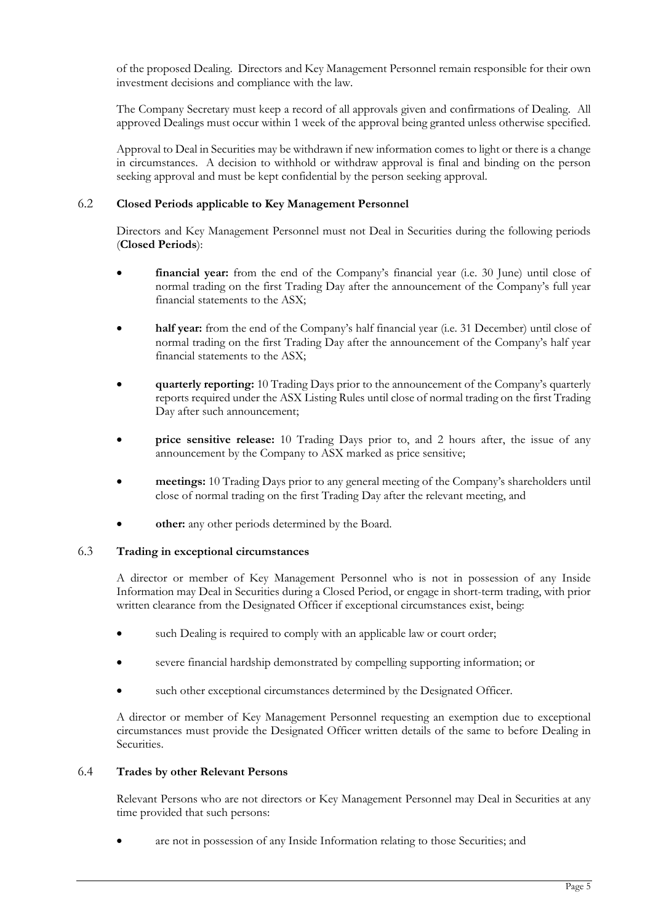of the proposed Dealing. Directors and Key Management Personnel remain responsible for their own investment decisions and compliance with the law.

The Company Secretary must keep a record of all approvals given and confirmations of Dealing. All approved Dealings must occur within 1 week of the approval being granted unless otherwise specified.

Approval to Deal in Securities may be withdrawn if new information comes to light or there is a change in circumstances. A decision to withhold or withdraw approval is final and binding on the person seeking approval and must be kept confidential by the person seeking approval.

#### 6.2 **Closed Periods applicable to Key Management Personnel**

Directors and Key Management Personnel must not Deal in Securities during the following periods (**Closed Periods**):

- **financial year:** from the end of the Company's financial year (i.e. 30 June) until close of normal trading on the first Trading Day after the announcement of the Company's full year financial statements to the ASX;
- **half year:** from the end of the Company's half financial year (i.e. 31 December) until close of normal trading on the first Trading Day after the announcement of the Company's half year financial statements to the ASX;
- **quarterly reporting:** 10 Trading Days prior to the announcement of the Company's quarterly reports required under the ASX Listing Rules until close of normal trading on the first Trading Day after such announcement;
- **price sensitive release:** 10 Trading Days prior to, and 2 hours after, the issue of any announcement by the Company to ASX marked as price sensitive;
- **meetings:** 10 Trading Days prior to any general meeting of the Company's shareholders until close of normal trading on the first Trading Day after the relevant meeting, and
- **other:** any other periods determined by the Board.

#### 6.3 **Trading in exceptional circumstances**

A director or member of Key Management Personnel who is not in possession of any Inside Information may Deal in Securities during a Closed Period, or engage in short-term trading, with prior written clearance from the Designated Officer if exceptional circumstances exist, being:

- such Dealing is required to comply with an applicable law or court order;
- severe financial hardship demonstrated by compelling supporting information; or
- such other exceptional circumstances determined by the Designated Officer.

A director or member of Key Management Personnel requesting an exemption due to exceptional circumstances must provide the Designated Officer written details of the same to before Dealing in Securities.

#### 6.4 **Trades by other Relevant Persons**

Relevant Persons who are not directors or Key Management Personnel may Deal in Securities at any time provided that such persons:

• are not in possession of any Inside Information relating to those Securities; and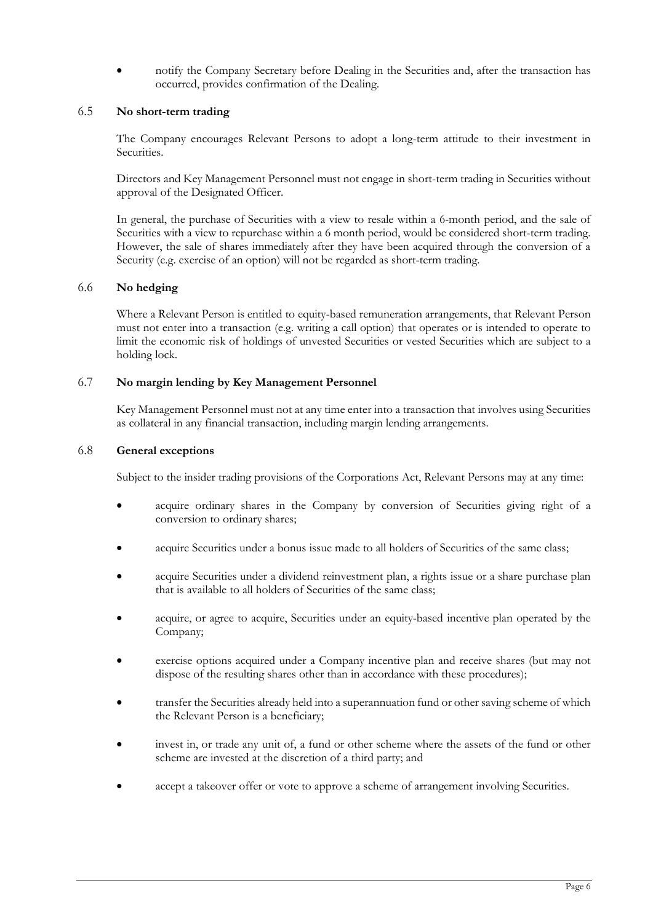• notify the Company Secretary before Dealing in the Securities and, after the transaction has occurred, provides confirmation of the Dealing.

#### 6.5 **No short-term trading**

The Company encourages Relevant Persons to adopt a long-term attitude to their investment in Securities.

Directors and Key Management Personnel must not engage in short-term trading in Securities without approval of the Designated Officer.

In general, the purchase of Securities with a view to resale within a 6-month period, and the sale of Securities with a view to repurchase within a 6 month period, would be considered short-term trading. However, the sale of shares immediately after they have been acquired through the conversion of a Security (e.g. exercise of an option) will not be regarded as short-term trading.

#### 6.6 **No hedging**

Where a Relevant Person is entitled to equity-based remuneration arrangements, that Relevant Person must not enter into a transaction (e.g. writing a call option) that operates or is intended to operate to limit the economic risk of holdings of unvested Securities or vested Securities which are subject to a holding lock.

#### 6.7 **No margin lending by Key Management Personnel**

Key Management Personnel must not at any time enter into a transaction that involves using Securities as collateral in any financial transaction, including margin lending arrangements.

#### 6.8 **General exceptions**

Subject to the insider trading provisions of the Corporations Act, Relevant Persons may at any time:

- acquire ordinary shares in the Company by conversion of Securities giving right of a conversion to ordinary shares;
- acquire Securities under a bonus issue made to all holders of Securities of the same class;
- acquire Securities under a dividend reinvestment plan, a rights issue or a share purchase plan that is available to all holders of Securities of the same class;
- acquire, or agree to acquire, Securities under an equity-based incentive plan operated by the Company;
- exercise options acquired under a Company incentive plan and receive shares (but may not dispose of the resulting shares other than in accordance with these procedures);
- transfer the Securities already held into a superannuation fund or other saving scheme of which the Relevant Person is a beneficiary;
- invest in, or trade any unit of, a fund or other scheme where the assets of the fund or other scheme are invested at the discretion of a third party; and
- accept a takeover offer or vote to approve a scheme of arrangement involving Securities.